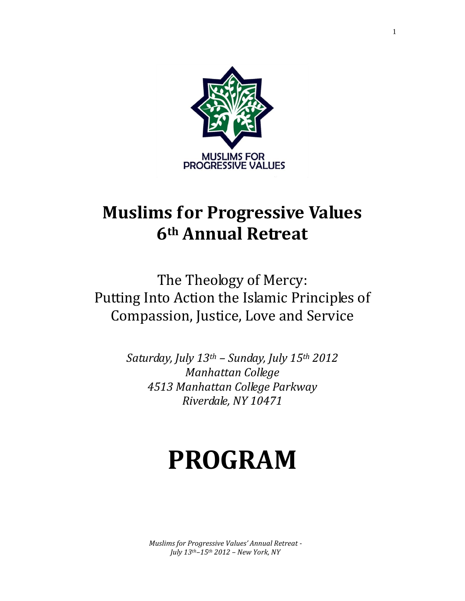

# **Muslims for Progressive Values 6th Annual Retreat**

The Theology of Mercy: Putting Into Action the Islamic Principles of Compassion, Justice, Love and Service

> *Saturday, July 13th – Sunday, July 15th 2012 Manhattan College 4513 Manhattan College Parkway Riverdale, NY 10471*

# **PROGRAM**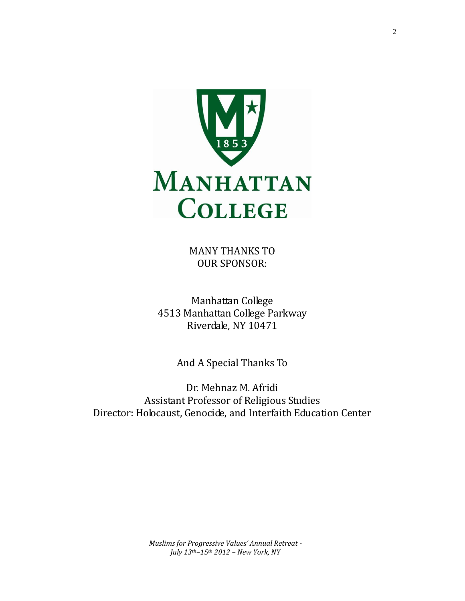

MANY THANKS TO OUR SPONSOR:

Manhattan College 4513 Manhattan College Parkway Riverdale, NY 10471

And A Special Thanks To

Dr. Mehnaz M. Afridi Assistant Professor of Religious Studies Director: Holocaust, Genocide, and Interfaith Education Center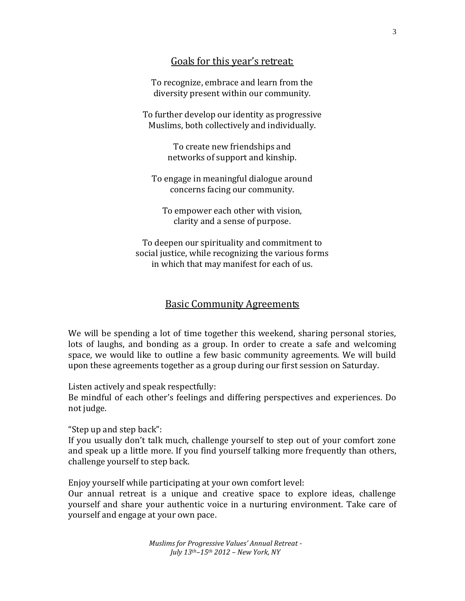# Goals for this year's retreat:

To recognize, embrace and learn from the diversity present within our community.

To further develop our identity as progressive Muslims, both collectively and individually.

> To create new friendships and networks of support and kinship.

To engage in meaningful dialogue around concerns facing our community.

To empower each other with vision, clarity and a sense of purpose.

To deepen our spirituality and commitment to social justice, while recognizing the various forms in which that may manifest for each of us.

# Basic Community Agreements

We will be spending a lot of time together this weekend, sharing personal stories, lots of laughs, and bonding as a group. In order to create a safe and welcoming space, we would like to outline a few basic community agreements. We will build upon these agreements together as a group during our first session on Saturday.

Listen actively and speak respectfully:

Be mindful of each other's feelings and differing perspectives and experiences. Do not judge.

"Step up and step back":

If you usually don't talk much, challenge yourself to step out of your comfort zone and speak up a little more. If you find yourself talking more frequently than others, challenge yourself to step back.

Enjoy yourself while participating at your own comfort level:

Our annual retreat is a unique and creative space to explore ideas, challenge yourself and share your authentic voice in a nurturing environment. Take care of yourself and engage at your own pace.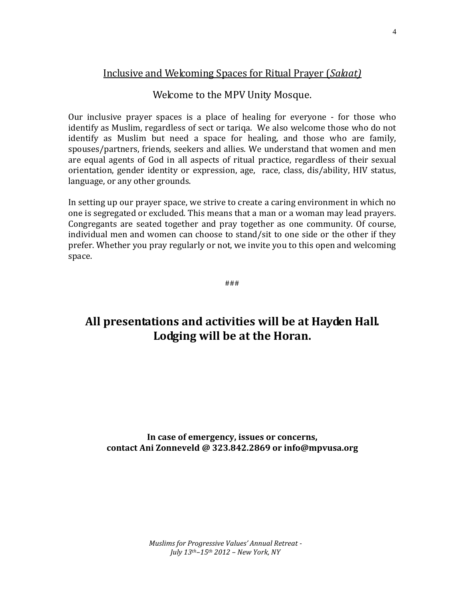# Inclusive and Welcoming Spaces for Ritual Prayer (*Salaat)*

# Welcome to the MPV Unity Mosque.

Our inclusive prayer spaces is a place of healing for everyone - for those who identify as Muslim, regardless of sect or tariqa. We also welcome those who do not identify as Muslim but need a space for healing, and those who are family, spouses/partners, friends, seekers and allies. We understand that women and men are equal agents of God in all aspects of ritual practice, regardless of their sexual orientation, gender identity or expression, age, race, class, dis/ability, HIV status, language, or any other grounds.

In setting up our prayer space, we strive to create a caring environment in which no one is segregated or excluded. This means that a man or a woman may lead prayers. Congregants are seated together and pray together as one community. Of course, individual men and women can choose to stand/sit to one side or the other if they prefer. Whether you pray regularly or not, we invite you to this open and welcoming space.

###

# **All presentations and activities will be at Hayden Hall. Lodging will be at the Horan.**

**In case of emergency, issues or concerns, contact Ani Zonneveld @ 323.842.2869 or info@mpvusa.org**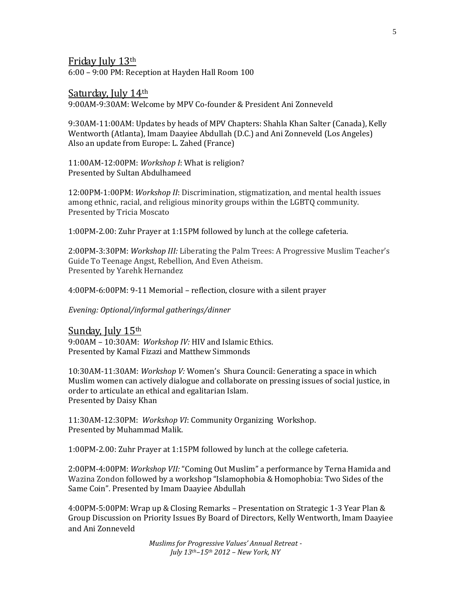Friday July 13th

6:00 – 9:00 PM: Reception at Hayden Hall Room 100

#### Saturday, July 14th

9:00AM-9:30AM: Welcome by MPV Co-founder & President Ani Zonneveld

9:30AM-11:00AM: Updates by heads of MPV Chapters: Shahla Khan Salter (Canada), Kelly Wentworth (Atlanta), Imam Daayiee Abdullah (D.C.) and Ani Zonneveld (Los Angeles) Also an update from Europe: L. Zahed (France)

11:00AM-12:00PM: *Workshop I*: What is religion? Presented by Sultan Abdulhameed

12:00PM-1:00PM: *Workshop II*: Discrimination, stigmatization, and mental health issues among ethnic, racial, and religious minority groups within the LGBTQ community. Presented by Tricia Moscato

1:00PM-2.00: Zuhr Prayer at 1:15PM followed by lunch at the college cafeteria.

2:00PM-3:30PM: *Workshop III:* Liberating the Palm Trees: A Progressive Muslim Teacher's Guide To Teenage Angst, Rebellion, And Even Atheism. Presented by Yarehk Hernandez

4:00PM-6:00PM: 9-11 Memorial – reflection, closure with a silent prayer

*Evening: Optional/informal gatherings/dinner*

#### Sunday. July 15th

9:00AM – 10:30AM: *Workshop IV:* HIV and Islamic Ethics. Presented by Kamal Fizazi and Matthew Simmonds

10:30AM-11:30AM: *Workshop V:* Women's Shura Council: Generating a space in which Muslim women can actively dialogue and collaborate on pressing issues of social justice, in order to articulate an ethical and egalitarian Islam. Presented by Daisy Khan

11:30AM-12:30PM: *Workshop VI*: Community Organizing Workshop. Presented by Muhammad Malik.

1:00PM-2.00: Zuhr Prayer at 1:15PM followed by lunch at the college cafeteria.

2:00PM-4:00PM: *Workshop VII:* "Coming Out Muslim" a performance by Terna Hamida and Wazina Zondon followed by a workshop "Islamophobia & Homophobia: Two Sides of the Same Coin". Presented by Imam Daayiee Abdullah

4:00PM-5:00PM: Wrap up & Closing Remarks *–* Presentation on Strategic 1-3 Year Plan & Group Discussion on Priority Issues By Board of Directors, Kelly Wentworth, Imam Daayiee and Ani Zonneveld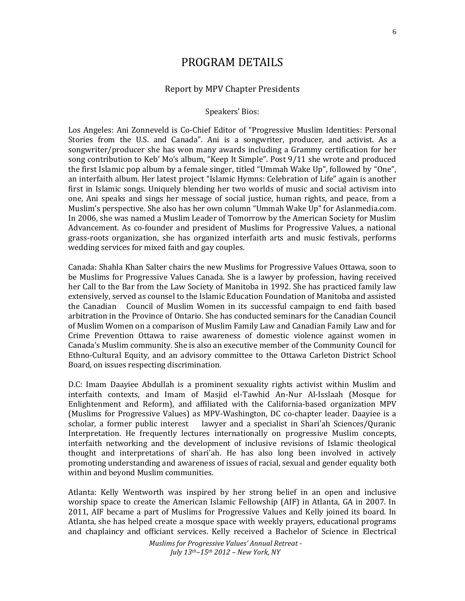# PROGRAM DETAILS

#### Report by MPV Chapter Presidents

#### Speakers' Bios:

Los Angeles: Ani Zonneveld is Co-Chief Editor of "Progressive Muslim Identities: Personal Stories from the U.S. and Canada". Ani is a songwriter, producer, and activist. As a songwriter/producer she has won many awards including a Grammy certification for her song contribution to Keb' Mo's album, "Keep It Simple". Post 9/11 she wrote and produced the first Islamic pop album by a female singer, titled "Ummah Wake Up", followed by "One", an interfaith album. Her latest project "Islamic Hymns: Celebration of Life" again is another first in Islamic songs. Uniquely blending her two worlds of music and social activism into one, Ani speaks and sings her message of social justice, human rights, and peace, from a Muslim's perspective. She also has her own column "Ummah Wake Up" for Aslanmedia.com. In 2006, she was named a Muslim Leader of Tomorrow by the American Society for Muslim Advancement. As co-founder and president of Muslims for Progressive Values, a national grass-roots organization, she has organized interfaith arts and music festivals, performs wedding services for mixed faith and gay couples.

Canada: Shahla Khan Salter chairs the new Muslims for Progressive Values Ottawa, soon to be Muslims for Progressive Values Canada. She is a lawyer by profession, having received her Call to the Bar from the Law Society of Manitoba in 1992. She has practiced family law extensively, served as counsel to the Islamic Education Foundation of Manitoba and assisted the Canadian Council of Muslim Women in its successful campaign to end faith based arbitration in the Province of Ontario. She has conducted seminars for the Canadian Council of Muslim Women on a comparison of Muslim Family Law and Canadian Family Law and for Crime Prevention Ottawa to raise awareness of domestic violence against women in Canada's Muslim community. She is also an executive member of the Community Council for Ethno-Cultural Equity, and an advisory committee to the Ottawa Carleton District School Board, on issues respecting discrimination.

D.C: Imam Daayiee Abdullah is a prominent sexuality rights activist within Muslim and interfaith contexts, and Imam of Masjid el-Tawhid An-Nur Al-Isslaah (Mosque for Enlightenment and Reform), and affiliated with the California-based organization MPV (Muslims for Progressive Values) as MPV-Washington, DC co-chapter leader. Daayiee is a scholar, a former public interest lawyer and a specialist in Shari'ah Sciences/Quranic Interpretation. He frequently lectures internationally on progressive Muslim concepts, interfaith networking and the development of inclusive revisions of Islamic theological thought and interpretations of shari'ah. He has also long been involved in actively promoting understanding and awareness of issues of racial, sexual and gender equality both within and beyond Muslim communities.

Atlanta: Kelly Wentworth was inspired by her strong belief in an open and inclusive worship space to create the American Islamic Fellowship (AIF) in Atlanta, GA in 2007. In 2011, AIF became a part of Muslims for Progressive Values and Kelly joined its board. In Atlanta, she has helped create a mosque space with weekly prayers, educational programs and chaplaincy and officiant services. Kelly received a Bachelor of Science in Electrical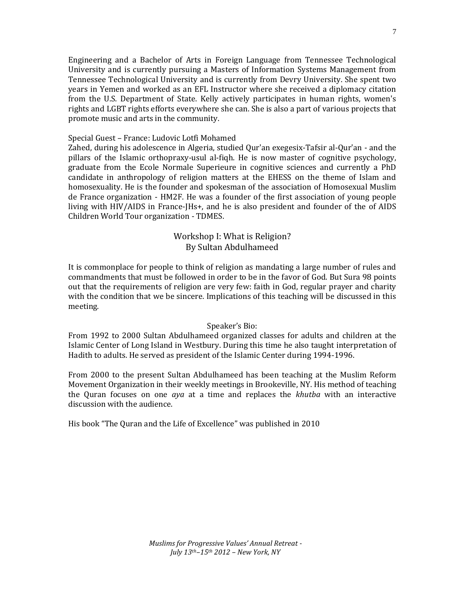Engineering and a Bachelor of Arts in Foreign Language from Tennessee Technological University and is currently pursuing a Masters of Information Systems Management from Tennessee Technological University and is currently from Devry University. She spent two years in Yemen and worked as an EFL Instructor where she received a diplomacy citation from the U.S. Department of State. Kelly actively participates in human rights, women's rights and LGBT rights efforts everywhere she can. She is also a part of various projects that promote music and arts in the community.

#### Special Guest – France: Ludovic Lotfi Mohamed

Zahed, during his adolescence in Algeria, studied Qur'an exegesix-Tafsir al-Qur'an - and the pillars of the Islamic orthopraxy-usul al-fiqh. He is now master of cognitive psychology, graduate from the Ecole Normale Superieure in cognitive sciences and currently a PhD candidate in anthropology of religion matters at the EHESS on the theme of Islam and homosexuality. He is the founder and spokesman of the association of Homosexual Muslim de France organization - HM2F. He was a founder of the first association of young people living with HIV/AIDS in France-JHs+, and he is also president and founder of the of AIDS Children World Tour organization - TDMES.

## Workshop I: What is Religion? By Sultan Abdulhameed

It is commonplace for people to think of religion as mandating a large number of rules and commandments that must be followed in order to be in the favor of God. But Sura 98 points out that the requirements of religion are very few: faith in God, regular prayer and charity with the condition that we be sincere. Implications of this teaching will be discussed in this meeting.

#### Speaker's Bio:

From 1992 to 2000 Sultan Abdulhameed organized classes for adults and children at the Islamic Center of Long Island in Westbury. During this time he also taught interpretation of Hadith to adults. He served as president of the Islamic Center during 1994-1996.

From 2000 to the present Sultan Abdulhameed has been teaching at the Muslim Reform Movement Organization in their weekly meetings in Brookeville, NY. His method of teaching the Quran focuses on one *aya* at a time and replaces the *khutba* with an interactive discussion with the audience.

His book "The Quran and the Life of Excellence" was published in 2010

7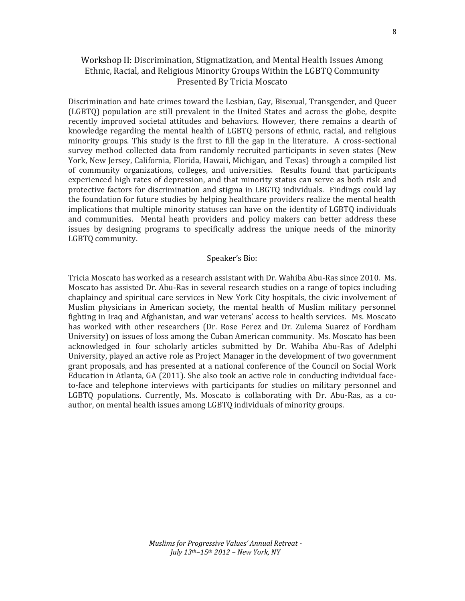# Workshop II: Discrimination, Stigmatization, and Mental Health Issues Among Ethnic, Racial, and Religious Minority Groups Within the LGBTQ Community Presented By Tricia Moscato

Discrimination and hate crimes toward the Lesbian, Gay, Bisexual, Transgender, and Queer (LGBTQ) population are still prevalent in the United States and across the globe, despite recently improved societal attitudes and behaviors. However, there remains a dearth of knowledge regarding the mental health of LGBTQ persons of ethnic, racial, and religious minority groups. This study is the first to fill the gap in the literature. A cross-sectional survey method collected data from randomly recruited participants in seven states (New York, New Jersey, California, Florida, Hawaii, Michigan, and Texas) through a compiled list of community organizations, colleges, and universities. Results found that participants experienced high rates of depression, and that minority status can serve as both risk and protective factors for discrimination and stigma in LBGTQ individuals. Findings could lay the foundation for future studies by helping healthcare providers realize the mental health implications that multiple minority statuses can have on the identity of LGBTQ individuals and communities. Mental heath providers and policy makers can better address these issues by designing programs to specifically address the unique needs of the minority LGBTQ community.

#### Speaker's Bio:

Tricia Moscato has worked as a research assistant with Dr. Wahiba Abu-Ras since 2010. Ms. Moscato has assisted Dr. Abu-Ras in several research studies on a range of topics including chaplaincy and spiritual care services in New York City hospitals, the civic involvement of Muslim physicians in American society, the mental health of Muslim military personnel fighting in Iraq and Afghanistan, and war veterans' access to health services. Ms. Moscato has worked with other researchers (Dr. Rose Perez and Dr. Zulema Suarez of Fordham University) on issues of loss among the Cuban American community. Ms. Moscato has been acknowledged in four scholarly articles submitted by Dr. Wahiba Abu-Ras of Adelphi University, played an active role as Project Manager in the development of two government grant proposals, and has presented at a national conference of the Council on Social Work Education in Atlanta, GA (2011). She also took an active role in conducting individual faceto-face and telephone interviews with participants for studies on military personnel and LGBTQ populations. Currently, Ms. Moscato is collaborating with Dr. Abu-Ras, as a coauthor, on mental health issues among LGBTQ individuals of minority groups.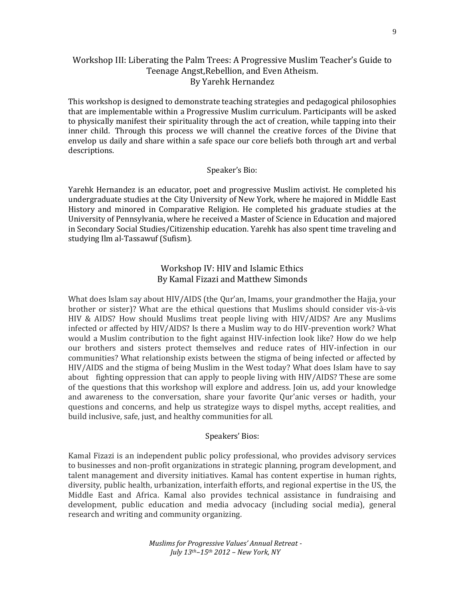## Workshop III: Liberating the Palm Trees: A Progressive Muslim Teacher's Guide to Teenage Angst,Rebellion, and Even Atheism. By Yarehk Hernandez

This workshop is designed to demonstrate teaching strategies and pedagogical philosophies that are implementable within a Progressive Muslim curriculum. Participants will be asked to physically manifest their spirituality through the act of creation, while tapping into their inner child. Through this process we will channel the creative forces of the Divine that envelop us daily and share within a safe space our core beliefs both through art and verbal descriptions.

#### Speaker's Bio:

Yarehk Hernandez is an educator, poet and progressive Muslim activist. He completed his undergraduate studies at the City University of New York, where he majored in Middle East History and minored in Comparative Religion. He completed his graduate studies at the University of Pennsylvania, where he received a Master of Science in Education and majored in Secondary Social Studies/Citizenship education. Yarehk has also spent time traveling and studying Ilm al‐Tassawuf (Sufism).

#### Workshop IV: HIV and Islamic Ethics By Kamal Fizazi and Matthew Simonds

What does Islam say about HIV/AIDS (the Qur'an, Imams, your grandmother the Hajja, your brother or sister)? What are the ethical questions that Muslims should consider vis-à-vis HIV & AIDS? How should Muslims treat people living with HIV/AIDS? Are any Muslims infected or affected by HIV/AIDS? Is there a Muslim way to do HIV-prevention work? What would a Muslim contribution to the fight against HIV-infection look like? How do we help our brothers and sisters protect themselves and reduce rates of HIV-infection in our communities? What relationship exists between the stigma of being infected or affected by HIV/AIDS and the stigma of being Muslim in the West today? What does Islam have to say about fighting oppression that can apply to people living with HIV/AIDS? These are some of the questions that this workshop will explore and address. Join us, add your knowledge and awareness to the conversation, share your favorite Qur'anic verses or hadith, your questions and concerns, and help us strategize ways to dispel myths, accept realities, and build inclusive, safe, just, and healthy communities for all.

#### Speakers' Bios:

Kamal Fizazi is an independent public policy professional, who provides advisory services to businesses and non-profit organizations in strategic planning, program development, and talent management and diversity initiatives. Kamal has content expertise in human rights, diversity, public health, urbanization, interfaith efforts, and regional expertise in the US, the Middle East and Africa. Kamal also provides technical assistance in fundraising and development, public education and media advocacy (including social media), general research and writing and community organizing.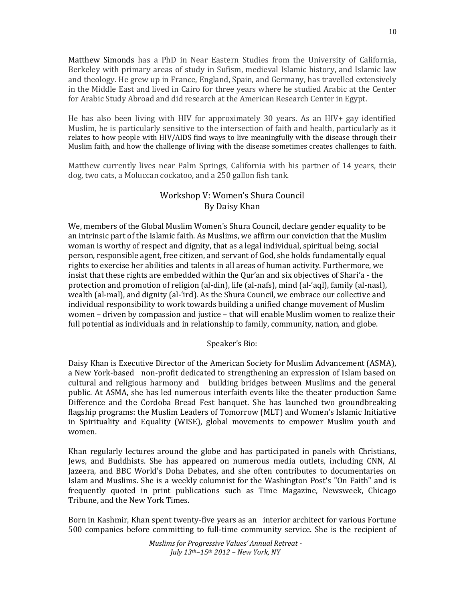Matthew Simonds has a PhD in Near Eastern Studies from the University of California, Berkeley with primary areas of study in Sufism, medieval Islamic history, and Islamic law and theology. He grew up in France, England, Spain, and Germany, has travelled extensively in the Middle East and lived in Cairo for three years where he studied Arabic at the Center for Arabic Study Abroad and did research at the American Research Center in Egypt.

He has also been living with HIV for approximately 30 years. As an HIV+ gay identified Muslim, he is particularly sensitive to the intersection of faith and health, particularly as it relates to how people with HIV/AIDS find ways to live meaningfully with the disease through their Muslim faith, and how the challenge of living with the disease sometimes creates challenges to faith.

Matthew currently lives near Palm Springs, California with his partner of 14 years, their dog, two cats, a Moluccan cockatoo, and a 250 gallon fish tank.

# Workshop V: Women's Shura Council By Daisy Khan

We, members of the Global Muslim Women's Shura Council, declare gender equality to be an intrinsic part of the Islamic faith. As Muslims, we affirm our conviction that the Muslim woman is worthy of respect and dignity, that as a legal individual, spiritual being, social person, responsible agent, free citizen, and servant of God, she holds fundamentally equal rights to exercise her abilities and talents in all areas of human activity. Furthermore, we insist that these rights are embedded within the Qur'an and six objectives of Shari'a - the protection and promotion of religion (al-din), life (al-nafs), mind (al-'aql), family (al-nasl), wealth (al-mal), and dignity (al-'ird). As the Shura Council, we embrace our collective and individual responsibility to work towards building a unified change movement of Muslim women – driven by compassion and justice – that will enable Muslim women to realize their full potential as individuals and in relationship to family, community, nation, and globe.

#### Speaker's Bio:

Daisy Khan is Executive Director of the American Society for Muslim Advancement (ASMA), a New York-based non-profit dedicated to strengthening an expression of Islam based on cultural and religious harmony and building bridges between Muslims and the general public. At ASMA, she has led numerous interfaith events like the theater production Same Difference and the Cordoba Bread Fest banquet. She has launched two groundbreaking flagship programs: the Muslim Leaders of Tomorrow (MLT) and Women's Islamic Initiative in Spirituality and Equality (WISE), global movements to empower Muslim youth and women.

Khan regularly lectures around the globe and has participated in panels with Christians, Jews, and Buddhists. She has appeared on numerous media outlets, including CNN, Al Jazeera, and BBC World's Doha Debates, and she often contributes to documentaries on Islam and Muslims. She is a weekly columnist for the Washington Post's "On Faith" and is frequently quoted in print publications such as Time Magazine, Newsweek, Chicago Tribune, and the New York Times.

Born in Kashmir, Khan spent twenty-five years as an interior architect for various Fortune 500 companies before committing to full-time community service. She is the recipient of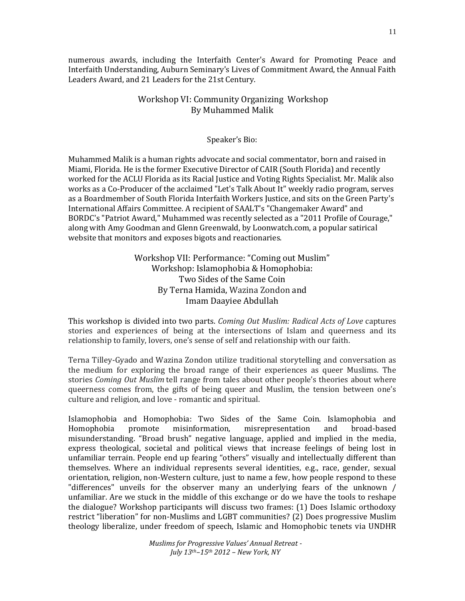numerous awards, including the Interfaith Center's Award for Promoting Peace and Interfaith Understanding, Auburn Seminary's Lives of Commitment Award, the Annual Faith Leaders Award, and 21 Leaders for the 21st Century.

# Workshop VI: Community Organizing Workshop By Muhammed Malik

#### Speaker's Bio:

Muhammed Malik is a human rights advocate and social commentator, born and raised in Miami, Florida. He is the former Executive Director of CAIR (South Florida) and recently worked for the ACLU Florida as its Racial Justice and Voting Rights Specialist. Mr. Malik also works as a Co-Producer of the acclaimed "Let's Talk About It" weekly radio program, serves as a Boardmember of South Florida Interfaith Workers Justice, and sits on the Green Party's International Affairs Committee. A recipient of SAALT's "Changemaker Award" and BORDC's "Patriot Award," Muhammed was recently selected as a "2011 Profile of Courage," along with Amy Goodman and Glenn Greenwald, by Loonwatch.com, a popular satirical website that monitors and exposes bigots and reactionaries.

# Workshop VII: Performance: "Coming out Muslim" Workshop: Islamophobia & Homophobia: Two Sides of the Same Coin By Terna Hamida, Wazina Zondon and Imam Daayiee Abdullah

This workshop is divided into two parts. *Coming Out Muslim: Radical Acts of Love* captures stories and experiences of being at the intersections of Islam and queerness and its relationship to family, lovers, one's sense of self and relationship with our faith.

Terna Tilley-Gyado and Wazina Zondon utilize traditional storytelling and conversation as the medium for exploring the broad range of their experiences as queer Muslims. The stories *Coming Out Muslim* tell range from tales about other people's theories about where queerness comes from, the gifts of being queer and Muslim, the tension between one's culture and religion, and love - romantic and spiritual.

Islamophobia and Homophobia: Two Sides of the Same Coin. Islamophobia and Homophobia promote misinformation, misrepresentation and broad-based misunderstanding. "Broad brush" negative language, applied and implied in the media, express theological, societal and political views that increase feelings of being lost in unfamiliar terrain. People end up fearing "others" visually and intellectually different than themselves. Where an individual represents several identities, e.g., race, gender, sexual orientation, religion, non-Western culture, just to name a few, how people respond to these "differences" unveils for the observer many an underlying fears of the unknown / unfamiliar. Are we stuck in the middle of this exchange or do we have the tools to reshape the dialogue? Workshop participants will discuss two frames: (1) Does Islamic orthodoxy restrict "liberation" for non-Muslims and LGBT communities? (2) Does progressive Muslim theology liberalize, under freedom of speech, Islamic and Homophobic tenets via UNDHR